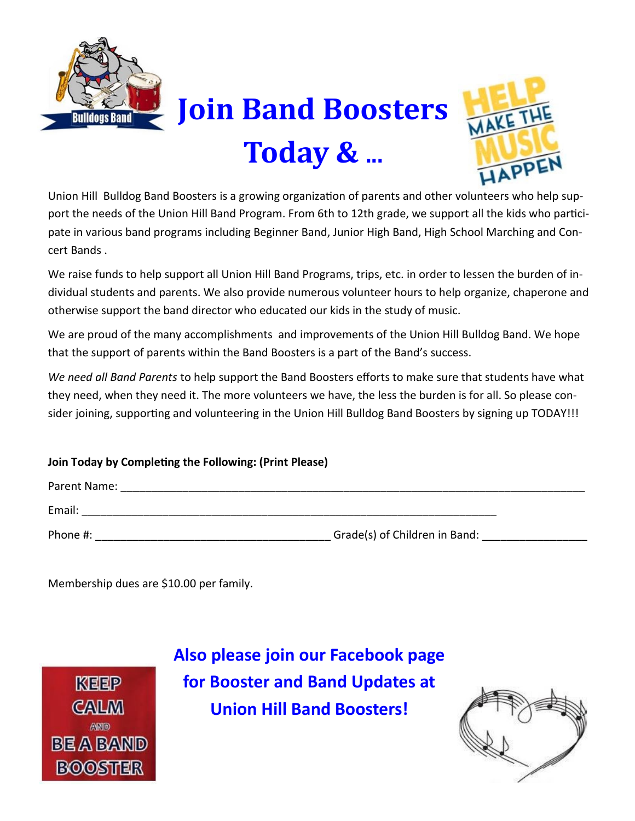

## **Join Band Boosters Today & ...**



Union Hill Bulldog Band Boosters is a growing organization of parents and other volunteers who help support the needs of the Union Hill Band Program. From 6th to 12th grade, we support all the kids who participate in various band programs including Beginner Band, Junior High Band, High School Marching and Concert Bands .

We raise funds to help support all Union Hill Band Programs, trips, etc. in order to lessen the burden of individual students and parents. We also provide numerous volunteer hours to help organize, chaperone and otherwise support the band director who educated our kids in the study of music.

We are proud of the many accomplishments and improvements of the Union Hill Bulldog Band. We hope that the support of parents within the Band Boosters is a part of the Band's success.

*We need all Band Parents* to help support the Band Boosters efforts to make sure that students have what they need, when they need it. The more volunteers we have, the less the burden is for all. So please consider joining, supporting and volunteering in the Union Hill Bulldog Band Boosters by signing up TODAY!!!

## **Join Today by Completing the Following: (Print Please)**

| Parent Name: |                               |  |
|--------------|-------------------------------|--|
| Email:       |                               |  |
| Phone #:     | Grade(s) of Children in Band: |  |

Membership dues are \$10.00 per family.



**Also please join our Facebook page for Booster and Band Updates at Union Hill Band Boosters!**